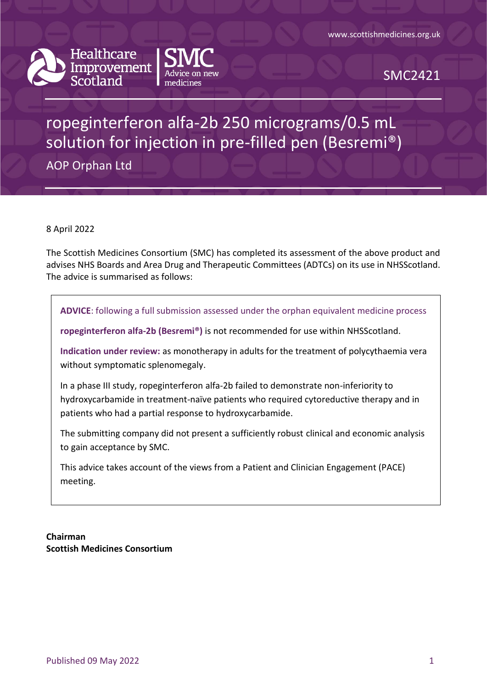



SMC2421

# ropeginterferon alfa-2b 250 micrograms/0.5 mL solution for injection in pre-filled pen (Besremi®)

AOP Orphan Ltd

8 April 2022

The Scottish Medicines Consortium (SMC) has completed its assessment of the above product and advises NHS Boards and Area Drug and Therapeutic Committees (ADTCs) on its use in NHSScotland. The advice is summarised as follows:

**ADVICE**: following a full submission assessed under the orphan equivalent medicine process

**ropeginterferon alfa-2b (Besremi®)** is not recommended for use within NHSScotland.

**Indication under review:** as monotherapy in adults for the treatment of polycythaemia vera without symptomatic splenomegaly.

In a phase III study, ropeginterferon alfa-2b failed to demonstrate non-inferiority to hydroxycarbamide in treatment-naïve patients who required cytoreductive therapy and in patients who had a partial response to hydroxycarbamide.

The submitting company did not present a sufficiently robust clinical and economic analysis to gain acceptance by SMC.

This advice takes account of the views from a Patient and Clinician Engagement (PACE) meeting.

**Chairman Scottish Medicines Consortium**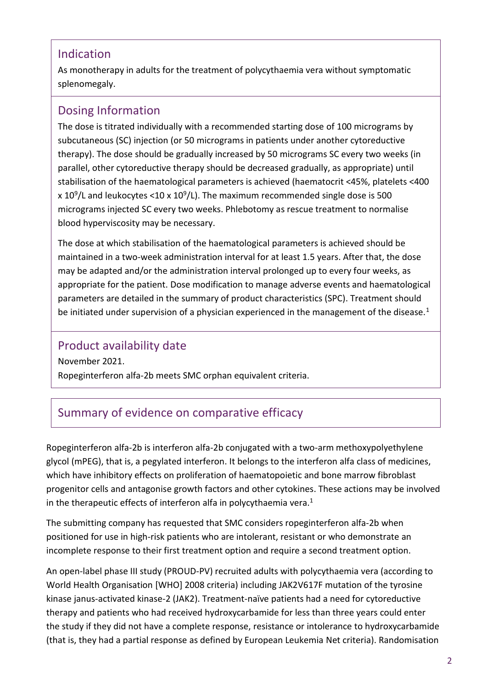### Indication

As monotherapy in adults for the treatment of polycythaemia vera without symptomatic splenomegaly.

## Dosing Information

The dose is titrated individually with a recommended starting dose of 100 micrograms by subcutaneous (SC) injection (or 50 micrograms in patients under another cytoreductive therapy). The dose should be gradually increased by 50 micrograms SC every two weeks (in parallel, other cytoreductive therapy should be decreased gradually, as appropriate) until stabilisation of the haematological parameters is achieved (haematocrit <45%, platelets <400 x 10<sup>9</sup>/L and leukocytes <10 x 10<sup>9</sup>/L). The maximum recommended single dose is 500 micrograms injected SC every two weeks. Phlebotomy as rescue treatment to normalise blood hyperviscosity may be necessary.

The dose at which stabilisation of the haematological parameters is achieved should be maintained in a two-week administration interval for at least 1.5 years. After that, the dose may be adapted and/or the administration interval prolonged up to every four weeks, as appropriate for the patient. Dose modification to manage adverse events and haematological parameters are detailed in the summary of product characteristics (SPC). Treatment should be initiated under supervision of a physician experienced in the management of the disease.<sup>1</sup>

### Product availability date

November 2021. Ropeginterferon alfa-2b meets SMC orphan equivalent criteria.

## Summary of evidence on comparative efficacy

Ropeginterferon alfa-2b is interferon alfa-2b conjugated with a two-arm methoxypolyethylene glycol (mPEG), that is, a pegylated interferon. It belongs to the interferon alfa class of medicines, which have inhibitory effects on proliferation of haematopoietic and bone marrow fibroblast progenitor cells and antagonise growth factors and other cytokines. These actions may be involved in the therapeutic effects of interferon alfa in polycythaemia vera. $1$ 

The submitting company has requested that SMC considers ropeginterferon alfa-2b when positioned for use in high-risk patients who are intolerant, resistant or who demonstrate an incomplete response to their first treatment option and require a second treatment option.

An open-label phase III study (PROUD-PV) recruited adults with polycythaemia vera (according to World Health Organisation [WHO] 2008 criteria) including JAK2V617F mutation of the tyrosine kinase janus-activated kinase-2 (JAK2). Treatment-naïve patients had a need for cytoreductive therapy and patients who had received hydroxycarbamide for less than three years could enter the study if they did not have a complete response, resistance or intolerance to hydroxycarbamide (that is, they had a partial response as defined by European Leukemia Net criteria). Randomisation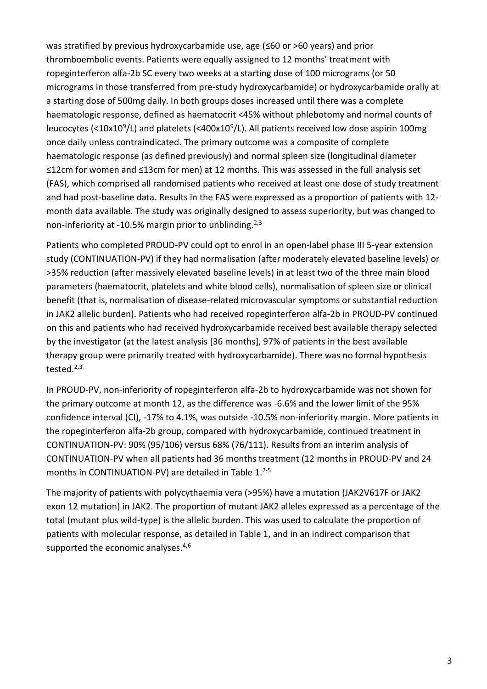was stratified by previous hydroxycarbamide use, age (≤60 or >60 years) and prior thromboembolic events. Patients were equally assigned to 12 months' treatment with ropeginterferon alfa-2b SC every two weeks at a starting dose of 100 micrograms (or 50 micrograms in those transferred from pre-study hydroxycarbamide) or hydroxycarbamide orally at a starting dose of 500mg daily. In both groups doses increased until there was a complete haematologic response, defined as haematocrit <45% without phlebotomy and normal counts of leucocytes (<10x10<sup>9</sup>/L) and platelets (<400x10<sup>9</sup>/L). All patients received low dose aspirin 100mg once daily unless contraindicated. The primary outcome was a composite of complete haematologic response (as defined previously) and normal spleen size (longitudinal diameter ≤12cm for women and ≤13cm for men) at 12 months. This was assessed in the full analysis set (FAS), which comprised all randomised patients who received at least one dose of study treatment and had post-baseline data. Results in the FAS were expressed as a proportion of patients with 12 month data available. The study was originally designed to assess superiority, but was changed to non-inferiority at -10.5% margin prior to unblinding.<sup>2,3</sup>

Patients who completed PROUD-PV could opt to enrol in an open-label phase III 5-year extension study (CONTINUATION-PV) if they had normalisation (after moderately elevated baseline levels) or >35% reduction (after massively elevated baseline levels) in at least two of the three main blood parameters (haematocrit, platelets and white blood cells), normalisation of spleen size or clinical benefit (that is, normalisation of disease-related microvascular symptoms or substantial reduction in JAK2 allelic burden). Patients who had received ropeginterferon alfa-2b in PROUD-PV continued on this and patients who had received hydroxycarbamide received best available therapy selected by the investigator (at the latest analysis [36 months], 97% of patients in the best available therapy group were primarily treated with hydroxycarbamide). There was no formal hypothesis tested. $2,3$ 

In PROUD-PV, non-inferiority of ropeginterferon alfa-2b to hydroxycarbamide was not shown for the primary outcome at month 12, as the difference was -6.6% and the lower limit of the 95% confidence interval (CI), -17% to 4.1%, was outside -10.5% non-inferiority margin. More patients in the ropeginterferon alfa-2b group, compared with hydroxycarbamide, continued treatment in CONTINUATION-PV: 90% (95/106) versus 68% (76/111). Results from an interim analysis of CONTINUATION-PV when all patients had 36 months treatment (12 months in PROUD-PV and 24 months in CONTINUATION-PV) are detailed in Table 1. 2-5

The majority of patients with polycythaemia vera (>95%) have a mutation (JAK2V617F or JAK2 exon 12 mutation) in JAK2. The proportion of mutant JAK2 alleles expressed as a percentage of the total (mutant plus wild-type) is the allelic burden. This was used to calculate the proportion of patients with molecular response, as detailed in Table 1, and in an indirect comparison that supported the economic analyses.<sup>4,6</sup>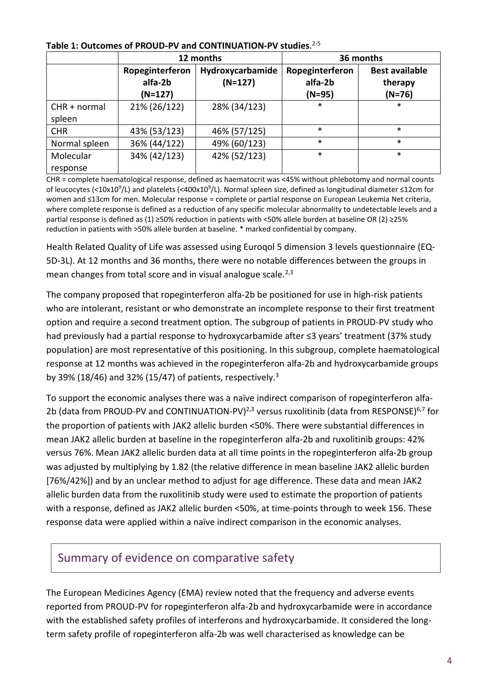|                          |                                         | 12 months                     | 36 months                              |                                              |
|--------------------------|-----------------------------------------|-------------------------------|----------------------------------------|----------------------------------------------|
|                          | Ropeginterferon<br>alfa-2b<br>$(N=127)$ | Hydroxycarbamide<br>$(N=127)$ | Ropeginterferon<br>alfa-2b<br>$(N=95)$ | <b>Best available</b><br>therapy<br>$(N=76)$ |
| $CHR + normal$<br>spleen | 21% (26/122)                            | 28% (34/123)                  | *                                      | $\ast$                                       |
| <b>CHR</b>               | 43% (53/123)                            | 46% (57/125)                  | *                                      | $\ast$                                       |
| Normal spleen            | 36% (44/122)                            | 49% (60/123)                  | *                                      | $\ast$                                       |
| Molecular<br>response    | 34% (42/123)                            | 42% (52/123)                  | *                                      | $\ast$                                       |

### **Table 1: Outcomes of PROUD-PV and CONTINUATION-PV studies**. 2-5

CHR = complete haematological response, defined as haematocrit was <45% without phlebotomy and normal counts of leucocytes (<10x10<sup>9</sup>/L) and platelets (<400x10<sup>9</sup>/L). Normal spleen size, defined as longitudinal diameter ≤12cm for women and ≤13cm for men. Molecular response = complete or partial response on European Leukemia Net criteria, where complete response is defined as a reduction of any specific molecular abnormality to undetectable levels and a partial response is defined as (1) ≥50% reduction in patients with <50% allele burden at baseline OR (2) ≥25% reduction in patients with >50% allele burden at baseline. \* marked confidential by company.

Health Related Quality of Life was assessed using Euroqol 5 dimension 3 levels questionnaire (EQ-5D-3L). At 12 months and 36 months, there were no notable differences between the groups in mean changes from total score and in visual analogue scale. $^{2,3}$ 

The company proposed that ropeginterferon alfa-2b be positioned for use in high-risk patients who are intolerant, resistant or who demonstrate an incomplete response to their first treatment option and require a second treatment option. The subgroup of patients in PROUD-PV study who had previously had a partial response to hydroxycarbamide after ≤3 years' treatment (37% study population) are most representative of this positioning. In this subgroup, complete haematological response at 12 months was achieved in the ropeginterferon alfa-2b and hydroxycarbamide groups by 39% (18/46) and 32% (15/47) of patients, respectively.<sup>3</sup>

To support the economic analyses there was a naïve indirect comparison of ropeginterferon alfa-2b (data from PROUD-PV and CONTINUATION-PV)<sup>2,3</sup> versus ruxolitinib (data from RESPONSE)<sup>6,7</sup> for the proportion of patients with JAK2 allelic burden <50%. There were substantial differences in mean JAK2 allelic burden at baseline in the ropeginterferon alfa-2b and ruxolitinib groups: 42% versus 76%. Mean JAK2 allelic burden data at all time points in the ropeginterferon alfa-2b group was adjusted by multiplying by 1.82 (the relative difference in mean baseline JAK2 allelic burden [76%/42%]) and by an unclear method to adjust for age difference. These data and mean JAK2 allelic burden data from the ruxolitinib study were used to estimate the proportion of patients with a response, defined as JAK2 allelic burden <50%, at time-points through to week 156. These response data were applied within a naïve indirect comparison in the economic analyses.

### Summary of evidence on comparative safety

The European Medicines Agency (EMA) review noted that the frequency and adverse events reported from PROUD-PV for ropeginterferon alfa-2b and hydroxycarbamide were in accordance with the established safety profiles of interferons and hydroxycarbamide. It considered the longterm safety profile of ropeginterferon alfa-2b was well characterised as knowledge can be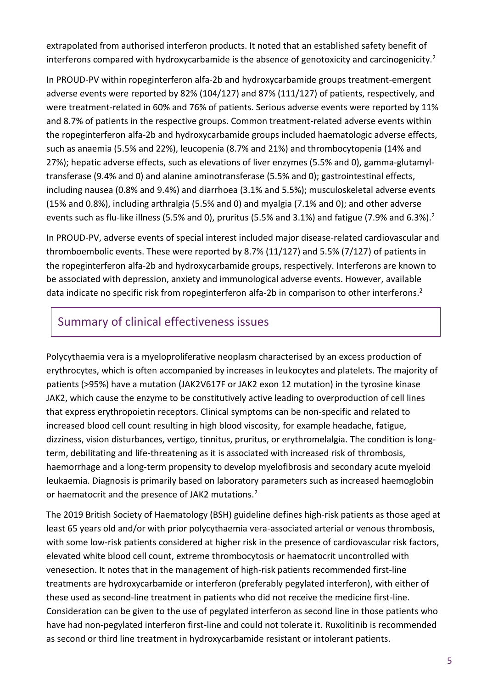extrapolated from authorised interferon products. It noted that an established safety benefit of interferons compared with hydroxycarbamide is the absence of genotoxicity and carcinogenicity.<sup>2</sup>

In PROUD-PV within ropeginterferon alfa-2b and hydroxycarbamide groups treatment-emergent adverse events were reported by 82% (104/127) and 87% (111/127) of patients, respectively, and were treatment-related in 60% and 76% of patients. Serious adverse events were reported by 11% and 8.7% of patients in the respective groups. Common treatment-related adverse events within the ropeginterferon alfa-2b and hydroxycarbamide groups included haematologic adverse effects, such as anaemia (5.5% and 22%), leucopenia (8.7% and 21%) and thrombocytopenia (14% and 27%); hepatic adverse effects, such as elevations of liver enzymes (5.5% and 0), gamma-glutamyltransferase (9.4% and 0) and alanine aminotransferase (5.5% and 0); gastrointestinal effects, including nausea (0.8% and 9.4%) and diarrhoea (3.1% and 5.5%); musculoskeletal adverse events (15% and 0.8%), including arthralgia (5.5% and 0) and myalgia (7.1% and 0); and other adverse events such as flu-like illness (5.5% and 0), pruritus (5.5% and 3.1%) and fatigue (7.9% and 6.3%).<sup>2</sup>

In PROUD-PV, adverse events of special interest included major disease-related cardiovascular and thromboembolic events. These were reported by 8.7% (11/127) and 5.5% (7/127) of patients in the ropeginterferon alfa-2b and hydroxycarbamide groups, respectively. Interferons are known to be associated with depression, anxiety and immunological adverse events. However, available data indicate no specific risk from ropeginterferon alfa-2b in comparison to other interferons.<sup>2</sup>

# Summary of clinical effectiveness issues

Polycythaemia vera is a myeloproliferative neoplasm characterised by an excess production of erythrocytes, which is often accompanied by increases in leukocytes and platelets. The majority of patients (>95%) have a mutation (JAK2V617F or JAK2 exon 12 mutation) in the tyrosine kinase JAK2, which cause the enzyme to be constitutively active leading to overproduction of cell lines that express erythropoietin receptors. Clinical symptoms can be non-specific and related to increased blood cell count resulting in high blood viscosity, for example headache, fatigue, dizziness, vision disturbances, vertigo, tinnitus, pruritus, or erythromelalgia. The condition is longterm, debilitating and life-threatening as it is associated with increased risk of thrombosis, haemorrhage and a long-term propensity to develop myelofibrosis and secondary acute myeloid leukaemia. Diagnosis is primarily based on laboratory parameters such as increased haemoglobin or haematocrit and the presence of JAK2 mutations.<sup>2</sup>

The 2019 British Society of Haematology (BSH) guideline defines high-risk patients as those aged at least 65 years old and/or with prior polycythaemia vera-associated arterial or venous thrombosis, with some low-risk patients considered at higher risk in the presence of cardiovascular risk factors, elevated white blood cell count, extreme thrombocytosis or haematocrit uncontrolled with venesection. It notes that in the management of high-risk patients recommended first-line treatments are hydroxycarbamide or interferon (preferably pegylated interferon), with either of these used as second-line treatment in patients who did not receive the medicine first-line. Consideration can be given to the use of pegylated interferon as second line in those patients who have had non-pegylated interferon first-line and could not tolerate it. Ruxolitinib is recommended as second or third line treatment in hydroxycarbamide resistant or intolerant patients.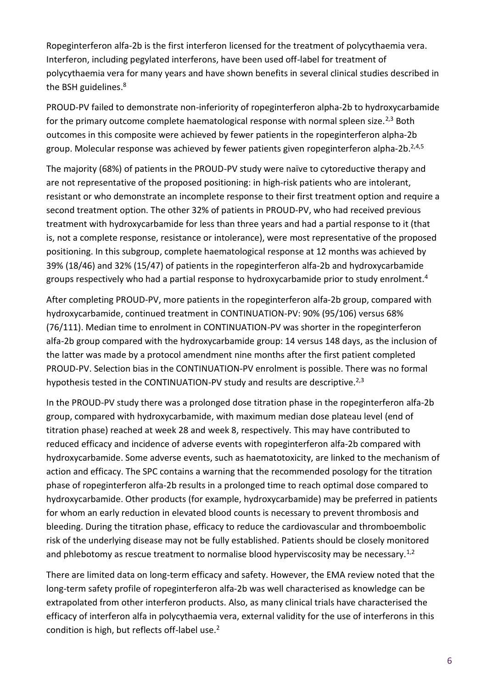Ropeginterferon alfa-2b is the first interferon licensed for the treatment of polycythaemia vera. Interferon, including pegylated interferons, have been used off-label for treatment of polycythaemia vera for many years and have shown benefits in several clinical studies described in the BSH guidelines.<sup>8</sup>

PROUD-PV failed to demonstrate non-inferiority of ropeginterferon alpha-2b to hydroxycarbamide for the primary outcome complete haematological response with normal spleen size.<sup>2,3</sup> Both outcomes in this composite were achieved by fewer patients in the ropeginterferon alpha-2b group. Molecular response was achieved by fewer patients given ropeginterferon alpha-2b.<sup>2,4,5</sup>

The majority (68%) of patients in the PROUD-PV study were naïve to cytoreductive therapy and are not representative of the proposed positioning: in high-risk patients who are intolerant, resistant or who demonstrate an incomplete response to their first treatment option and require a second treatment option. The other 32% of patients in PROUD-PV, who had received previous treatment with hydroxycarbamide for less than three years and had a partial response to it (that is, not a complete response, resistance or intolerance), were most representative of the proposed positioning. In this subgroup, complete haematological response at 12 months was achieved by 39% (18/46) and 32% (15/47) of patients in the ropeginterferon alfa-2b and hydroxycarbamide groups respectively who had a partial response to hydroxycarbamide prior to study enrolment.<sup>4</sup>

After completing PROUD-PV, more patients in the ropeginterferon alfa-2b group, compared with hydroxycarbamide, continued treatment in CONTINUATION-PV: 90% (95/106) versus 68% (76/111). Median time to enrolment in CONTINUATION-PV was shorter in the ropeginterferon alfa-2b group compared with the hydroxycarbamide group: 14 versus 148 days, as the inclusion of the latter was made by a protocol amendment nine months after the first patient completed PROUD-PV. Selection bias in the CONTINUATION-PV enrolment is possible. There was no formal hypothesis tested in the CONTINUATION-PV study and results are descriptive.<sup>2,3</sup>

In the PROUD-PV study there was a prolonged dose titration phase in the ropeginterferon alfa-2b group, compared with hydroxycarbamide, with maximum median dose plateau level (end of titration phase) reached at week 28 and week 8, respectively. This may have contributed to reduced efficacy and incidence of adverse events with ropeginterferon alfa-2b compared with hydroxycarbamide. Some adverse events, such as haematotoxicity, are linked to the mechanism of action and efficacy. The SPC contains a warning that the recommended posology for the titration phase of ropeginterferon alfa-2b results in a prolonged time to reach optimal dose compared to hydroxycarbamide. Other products (for example, hydroxycarbamide) may be preferred in patients for whom an early reduction in elevated blood counts is necessary to prevent thrombosis and bleeding. During the titration phase, efficacy to reduce the cardiovascular and thromboembolic risk of the underlying disease may not be fully established. Patients should be closely monitored and phlebotomy as rescue treatment to normalise blood hyperviscosity may be necessary.<sup>1,2</sup>

There are limited data on long-term efficacy and safety. However, the EMA review noted that the long-term safety profile of ropeginterferon alfa-2b was well characterised as knowledge can be extrapolated from other interferon products. Also, as many clinical trials have characterised the efficacy of interferon alfa in polycythaemia vera, external validity for the use of interferons in this condition is high, but reflects off-label use.2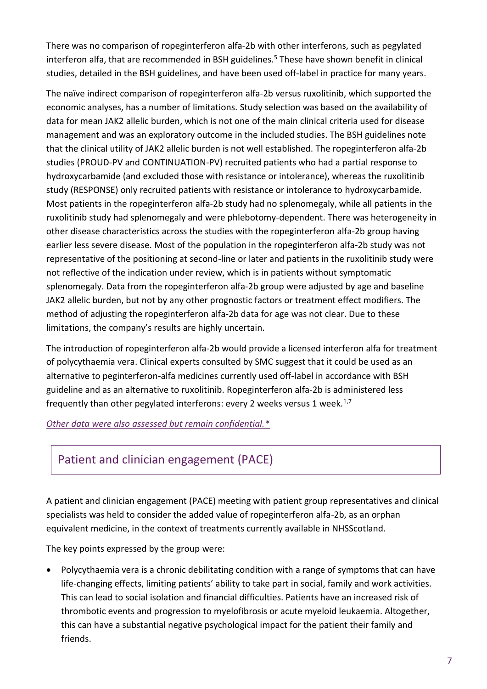There was no comparison of ropeginterferon alfa-2b with other interferons, such as pegylated interferon alfa, that are recommended in BSH guidelines.<sup>5</sup> These have shown benefit in clinical studies, detailed in the BSH guidelines, and have been used off-label in practice for many years.

The naïve indirect comparison of ropeginterferon alfa-2b versus ruxolitinib, which supported the economic analyses, has a number of limitations. Study selection was based on the availability of data for mean JAK2 allelic burden, which is not one of the main clinical criteria used for disease management and was an exploratory outcome in the included studies. The BSH guidelines note that the clinical utility of JAK2 allelic burden is not well established. The ropeginterferon alfa-2b studies (PROUD-PV and CONTINUATION-PV) recruited patients who had a partial response to hydroxycarbamide (and excluded those with resistance or intolerance), whereas the ruxolitinib study (RESPONSE) only recruited patients with resistance or intolerance to hydroxycarbamide. Most patients in the ropeginterferon alfa-2b study had no splenomegaly, while all patients in the ruxolitinib study had splenomegaly and were phlebotomy-dependent. There was heterogeneity in other disease characteristics across the studies with the ropeginterferon alfa-2b group having earlier less severe disease. Most of the population in the ropeginterferon alfa-2b study was not representative of the positioning at second-line or later and patients in the ruxolitinib study were not reflective of the indication under review, which is in patients without symptomatic splenomegaly. Data from the ropeginterferon alfa-2b group were adjusted by age and baseline JAK2 allelic burden, but not by any other prognostic factors or treatment effect modifiers. The method of adjusting the ropeginterferon alfa-2b data for age was not clear. Due to these limitations, the company's results are highly uncertain.

The introduction of ropeginterferon alfa-2b would provide a licensed interferon alfa for treatment of polycythaemia vera. Clinical experts consulted by SMC suggest that it could be used as an alternative to peginterferon-alfa medicines currently used off-label in accordance with BSH guideline and as an alternative to ruxolitinib. Ropeginterferon alfa-2b is administered less frequently than other pegylated interferons: every 2 weeks versus 1 week. $1,7$ 

### *[Other data were also assessed but remain confidential.\\*](https://www.scottishmedicines.org.uk/media/3572/20180710-release-of-company-data.pdf)*

## Patient and clinician engagement (PACE)

A patient and clinician engagement (PACE) meeting with patient group representatives and clinical specialists was held to consider the added value of ropeginterferon alfa-2b, as an orphan equivalent medicine, in the context of treatments currently available in NHSScotland.

The key points expressed by the group were:

 Polycythaemia vera is a chronic debilitating condition with a range of symptoms that can have life-changing effects, limiting patients' ability to take part in social, family and work activities. This can lead to social isolation and financial difficulties. Patients have an increased risk of thrombotic events and progression to myelofibrosis or acute myeloid leukaemia. Altogether, this can have a substantial negative psychological impact for the patient their family and friends.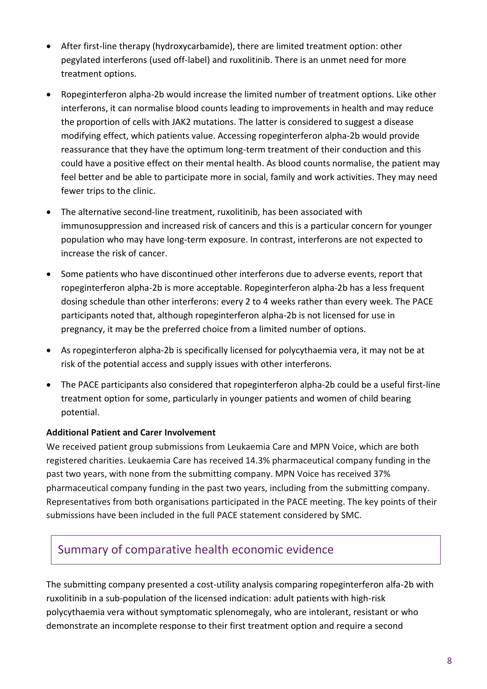- After first-line therapy (hydroxycarbamide), there are limited treatment option: other pegylated interferons (used off-label) and ruxolitinib. There is an unmet need for more treatment options.
- Ropeginterferon alpha-2b would increase the limited number of treatment options. Like other interferons, it can normalise blood counts leading to improvements in health and may reduce the proportion of cells with JAK2 mutations. The latter is considered to suggest a disease modifying effect, which patients value. Accessing ropeginterferon alpha-2b would provide reassurance that they have the optimum long-term treatment of their conduction and this could have a positive effect on their mental health. As blood counts normalise, the patient may feel better and be able to participate more in social, family and work activities. They may need fewer trips to the clinic.
- The alternative second-line treatment, ruxolitinib, has been associated with immunosuppression and increased risk of cancers and this is a particular concern for younger population who may have long-term exposure. In contrast, interferons are not expected to increase the risk of cancer.
- Some patients who have discontinued other interferons due to adverse events, report that ropeginterferon alpha-2b is more acceptable. Ropeginterferon alpha-2b has a less frequent dosing schedule than other interferons: every 2 to 4 weeks rather than every week. The PACE participants noted that, although ropeginterferon alpha-2b is not licensed for use in pregnancy, it may be the preferred choice from a limited number of options.
- As ropeginterferon alpha-2b is specifically licensed for polycythaemia vera, it may not be at risk of the potential access and supply issues with other interferons.
- The PACE participants also considered that ropeginterferon alpha-2b could be a useful first-line treatment option for some, particularly in younger patients and women of child bearing potential.

### **Additional Patient and Carer Involvement**

We received patient group submissions from Leukaemia Care and MPN Voice, which are both registered charities. Leukaemia Care has received 14.3% pharmaceutical company funding in the past two years, with none from the submitting company. MPN Voice has received 37% pharmaceutical company funding in the past two years, including from the submitting company. Representatives from both organisations participated in the PACE meeting. The key points of their submissions have been included in the full PACE statement considered by SMC.

## Summary of comparative health economic evidence

The submitting company presented a cost-utility analysis comparing ropeginterferon alfa-2b with ruxolitinib in a sub-population of the licensed indication: adult patients with high-risk polycythaemia vera without symptomatic splenomegaly, who are intolerant, resistant or who demonstrate an incomplete response to their first treatment option and require a second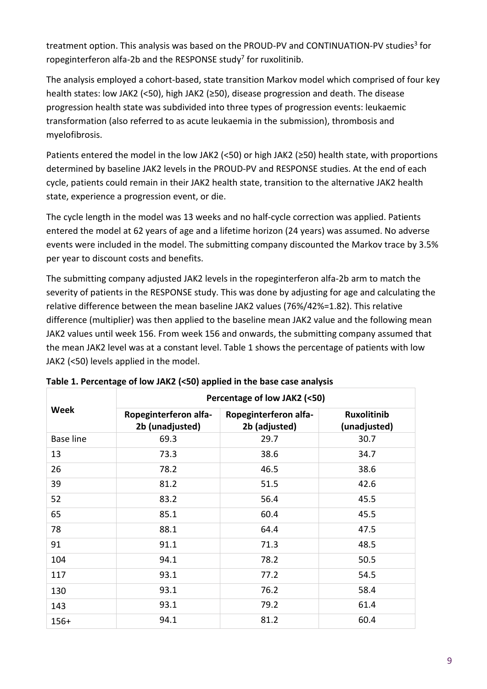treatment option. This analysis was based on the PROUD-PV and CONTINUATION-PV studies<sup>3</sup> for ropeginterferon alfa-2b and the RESPONSE study<sup>7</sup> for ruxolitinib.

The analysis employed a cohort-based, state transition Markov model which comprised of four key health states: low JAK2 (<50), high JAK2 (≥50), disease progression and death. The disease progression health state was subdivided into three types of progression events: leukaemic transformation (also referred to as acute leukaemia in the submission), thrombosis and myelofibrosis.

Patients entered the model in the low JAK2 (<50) or high JAK2 (≥50) health state, with proportions determined by baseline JAK2 levels in the PROUD-PV and RESPONSE studies. At the end of each cycle, patients could remain in their JAK2 health state, transition to the alternative JAK2 health state, experience a progression event, or die.

The cycle length in the model was 13 weeks and no half-cycle correction was applied. Patients entered the model at 62 years of age and a lifetime horizon (24 years) was assumed. No adverse events were included in the model. The submitting company discounted the Markov trace by 3.5% per year to discount costs and benefits.

The submitting company adjusted JAK2 levels in the ropeginterferon alfa-2b arm to match the severity of patients in the RESPONSE study. This was done by adjusting for age and calculating the relative difference between the mean baseline JAK2 values (76%/42%=1.82). This relative difference (multiplier) was then applied to the baseline mean JAK2 value and the following mean JAK2 values until week 156. From week 156 and onwards, the submitting company assumed that the mean JAK2 level was at a constant level. [Table 1](#page-8-0) shows the percentage of patients with low JAK2 (<50) levels applied in the model.

|                  | Percentage of low JAK2 (<50)             |                                        |                                    |  |  |  |
|------------------|------------------------------------------|----------------------------------------|------------------------------------|--|--|--|
| <b>Week</b>      | Ropeginterferon alfa-<br>2b (unadjusted) | Ropeginterferon alfa-<br>2b (adjusted) | <b>Ruxolitinib</b><br>(unadjusted) |  |  |  |
| <b>Base line</b> | 69.3                                     | 29.7                                   | 30.7                               |  |  |  |
| 13               | 73.3                                     | 38.6                                   | 34.7                               |  |  |  |
| 26               | 78.2                                     | 46.5                                   | 38.6                               |  |  |  |
| 39               | 81.2                                     | 51.5                                   | 42.6                               |  |  |  |
| 52               | 83.2                                     | 56.4                                   | 45.5                               |  |  |  |
| 65               | 85.1                                     | 60.4                                   | 45.5                               |  |  |  |
| 78               | 88.1                                     | 64.4                                   | 47.5                               |  |  |  |
| 91               | 91.1                                     | 71.3                                   | 48.5                               |  |  |  |
| 104              | 94.1                                     | 78.2                                   | 50.5                               |  |  |  |
| 117              | 93.1                                     | 77.2                                   | 54.5                               |  |  |  |
| 130              | 93.1                                     | 76.2                                   | 58.4                               |  |  |  |
| 143              | 93.1                                     | 79.2                                   | 61.4                               |  |  |  |
| $156+$           | 94.1                                     | 81.2                                   | 60.4                               |  |  |  |

<span id="page-8-0"></span>**Table 1. Percentage of low JAK2 (<50) applied in the base case analysis**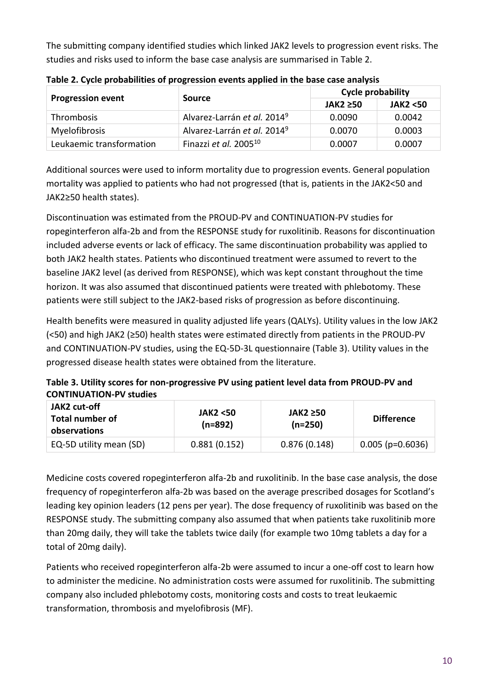The submitting company identified studies which linked JAK2 levels to progression event risks. The studies and risks used to inform the base case analysis are summarised in [Table 2.](#page-9-0)

| <b>Progression event</b> | Source                                  | Cycle probability |                    |  |
|--------------------------|-----------------------------------------|-------------------|--------------------|--|
|                          | JAK2 ≥50                                |                   | <b>JAK2 &lt;50</b> |  |
| Thrombosis               | Alvarez-Larrán et al. 2014 <sup>9</sup> | 0.0090            | 0.0042             |  |
| Myelofibrosis            | Alvarez-Larrán et al. 2014 <sup>9</sup> | 0.0070            | 0.0003             |  |
| Leukaemic transformation | Finazzi et al. 2005 <sup>10</sup>       | 0.0007            | 0.0007             |  |

<span id="page-9-0"></span>**Table 2. Cycle probabilities of progression events applied in the base case analysis** 

Additional sources were used to inform mortality due to progression events. General population mortality was applied to patients who had not progressed (that is, patients in the JAK2<50 and JAK2≥50 health states).

Discontinuation was estimated from the PROUD-PV and CONTINUATION-PV studies for ropeginterferon alfa-2b and from the RESPONSE study for ruxolitinib. Reasons for discontinuation included adverse events or lack of efficacy. The same discontinuation probability was applied to both JAK2 health states. Patients who discontinued treatment were assumed to revert to the baseline JAK2 level (as derived from RESPONSE), which was kept constant throughout the time horizon. It was also assumed that discontinued patients were treated with phlebotomy. These patients were still subject to the JAK2-based risks of progression as before discontinuing.

Health benefits were measured in quality adjusted life years (QALYs). Utility values in the low JAK2 (<50) and high JAK2 (≥50) health states were estimated directly from patients in the PROUD-PV and CONTINUATION-PV studies, using the EQ-5D-3L questionnaire [\(Table 3\)](#page-9-1). Utility values in the progressed disease health states were obtained from the literature.

<span id="page-9-1"></span>**Table 3. Utility scores for non-progressive PV using patient level data from PROUD-PV and CONTINUATION-PV studies** 

| JAK2 cut-off<br><b>Total number of</b><br>observations | JAK2 <50<br>$(n=892)$ | JAK2 $\geq$ 50<br>$(n=250)$ | <b>Difference</b>  |
|--------------------------------------------------------|-----------------------|-----------------------------|--------------------|
| EQ-5D utility mean (SD)                                | 0.881(0.152)          | 0.876(0.148)                | $0.005$ (p=0.6036) |

Medicine costs covered ropeginterferon alfa-2b and ruxolitinib. In the base case analysis, the dose frequency of ropeginterferon alfa-2b was based on the average prescribed dosages for Scotland's leading key opinion leaders (12 pens per year). The dose frequency of ruxolitinib was based on the RESPONSE study. The submitting company also assumed that when patients take ruxolitinib more than 20mg daily, they will take the tablets twice daily (for example two 10mg tablets a day for a total of 20mg daily).

Patients who received ropeginterferon alfa-2b were assumed to incur a one-off cost to learn how to administer the medicine. No administration costs were assumed for ruxolitinib. The submitting company also included phlebotomy costs, monitoring costs and costs to treat leukaemic transformation, thrombosis and myelofibrosis (MF).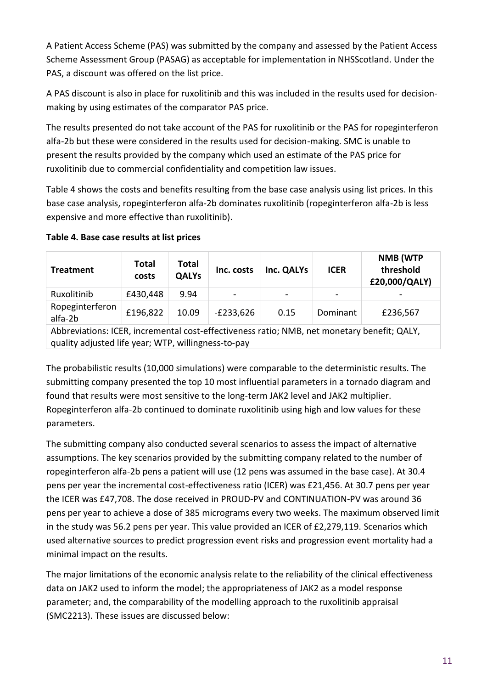A Patient Access Scheme (PAS) was submitted by the company and assessed by the Patient Access Scheme Assessment Group (PASAG) as acceptable for implementation in NHSScotland. Under the PAS, a discount was offered on the list price.

A PAS discount is also in place for ruxolitinib and this was included in the results used for decisionmaking by using estimates of the comparator PAS price.

The results presented do not take account of the PAS for ruxolitinib or the PAS for ropeginterferon alfa-2b but these were considered in the results used for decision-making. SMC is unable to present the results provided by the company which used an estimate of the PAS price for ruxolitinib due to commercial confidentiality and competition law issues.

[Table 4](#page-10-0) shows the costs and benefits resulting from the base case analysis using list prices. In this base case analysis, ropeginterferon alfa-2b dominates ruxolitinib (ropeginterferon alfa-2b is less expensive and more effective than ruxolitinib).

| <b>Treatment</b>                                                                                                                                   | Total<br>costs | <b>Total</b><br><b>QALYs</b> | Inc. costs  | Inc. QALYs | <b>ICER</b> | NMB (WTP<br>threshold<br>£20,000/QALY) |
|----------------------------------------------------------------------------------------------------------------------------------------------------|----------------|------------------------------|-------------|------------|-------------|----------------------------------------|
| Ruxolitinib                                                                                                                                        | £430,448       | 9.94                         |             |            |             |                                        |
| Ropeginterferon<br>alfa-2b                                                                                                                         | £196,822       | 10.09                        | $-E233,626$ | 0.15       | Dominant    | £236,567                               |
| Abbreviations: ICER, incremental cost-effectiveness ratio; NMB, net monetary benefit; QALY,<br>quality adjusted life year; WTP, willingness-to-pay |                |                              |             |            |             |                                        |

### <span id="page-10-0"></span>**Table 4. Base case results at list prices**

The probabilistic results (10,000 simulations) were comparable to the deterministic results. The submitting company presented the top 10 most influential parameters in a tornado diagram and found that results were most sensitive to the long-term JAK2 level and JAK2 multiplier. Ropeginterferon alfa-2b continued to dominate ruxolitinib using high and low values for these parameters.

The submitting company also conducted several scenarios to assess the impact of alternative assumptions. The key scenarios provided by the submitting company related to the number of ropeginterferon alfa-2b pens a patient will use (12 pens was assumed in the base case). At 30.4 pens per year the incremental cost-effectiveness ratio (ICER) was £21,456. At 30.7 pens per year the ICER was £47,708. The dose received in PROUD-PV and CONTINUATION-PV was around 36 pens per year to achieve a dose of 385 micrograms every two weeks. The maximum observed limit in the study was 56.2 pens per year. This value provided an ICER of £2,279,119. Scenarios which used alternative sources to predict progression event risks and progression event mortality had a minimal impact on the results.

The major limitations of the economic analysis relate to the reliability of the clinical effectiveness data on JAK2 used to inform the model; the appropriateness of JAK2 as a model response parameter; and, the comparability of the modelling approach to the ruxolitinib appraisal (SMC2213). These issues are discussed below: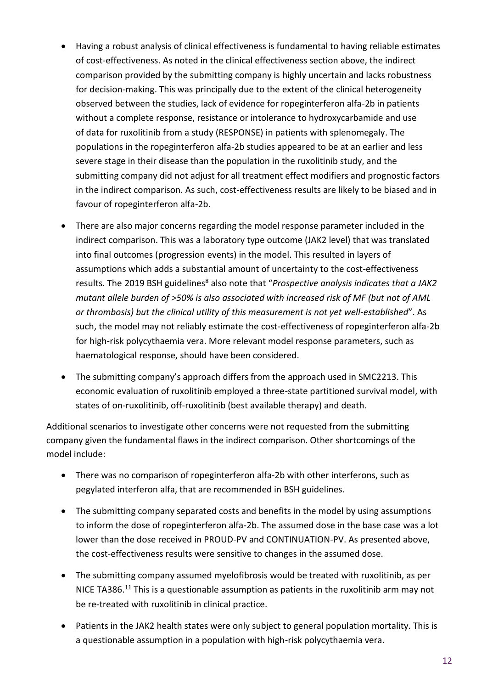- Having a robust analysis of clinical effectiveness is fundamental to having reliable estimates of cost-effectiveness. As noted in the clinical effectiveness section above, the indirect comparison provided by the submitting company is highly uncertain and lacks robustness for decision-making. This was principally due to the extent of the clinical heterogeneity observed between the studies, lack of evidence for ropeginterferon alfa-2b in patients without a complete response, resistance or intolerance to hydroxycarbamide and use of data for ruxolitinib from a study (RESPONSE) in patients with splenomegaly. The populations in the ropeginterferon alfa-2b studies appeared to be at an earlier and less severe stage in their disease than the population in the ruxolitinib study, and the submitting company did not adjust for all treatment effect modifiers and prognostic factors in the indirect comparison. As such, cost-effectiveness results are likely to be biased and in favour of ropeginterferon alfa-2b.
- There are also major concerns regarding the model response parameter included in the indirect comparison. This was a laboratory type outcome (JAK2 level) that was translated into final outcomes (progression events) in the model. This resulted in layers of assumptions which adds a substantial amount of uncertainty to the cost-effectiveness results. The 2019 BSH guidelines<sup>8</sup> also note that "*Prospective analysis indicates that a JAK2 mutant allele burden of >50% is also associated with increased risk of MF (but not of AML or thrombosis) but the clinical utility of this measurement is not yet well-established*". As such, the model may not reliably estimate the cost-effectiveness of ropeginterferon alfa-2b for high-risk polycythaemia vera. More relevant model response parameters, such as haematological response, should have been considered.
- The submitting company's approach differs from the approach used in SMC2213. This economic evaluation of ruxolitinib employed a three-state partitioned survival model, with states of on-ruxolitinib, off-ruxolitinib (best available therapy) and death.

Additional scenarios to investigate other concerns were not requested from the submitting company given the fundamental flaws in the indirect comparison. Other shortcomings of the model include:

- There was no comparison of ropeginterferon alfa-2b with other interferons, such as pegylated interferon alfa, that are recommended in BSH guidelines.
- The submitting company separated costs and benefits in the model by using assumptions to inform the dose of ropeginterferon alfa-2b. The assumed dose in the base case was a lot lower than the dose received in PROUD-PV and CONTINUATION-PV. As presented above, the cost-effectiveness results were sensitive to changes in the assumed dose.
- The submitting company assumed myelofibrosis would be treated with ruxolitinib, as per NICE TA386.<sup>11</sup> This is a questionable assumption as patients in the ruxolitinib arm may not be re-treated with ruxolitinib in clinical practice.
- Patients in the JAK2 health states were only subject to general population mortality. This is a questionable assumption in a population with high-risk polycythaemia vera.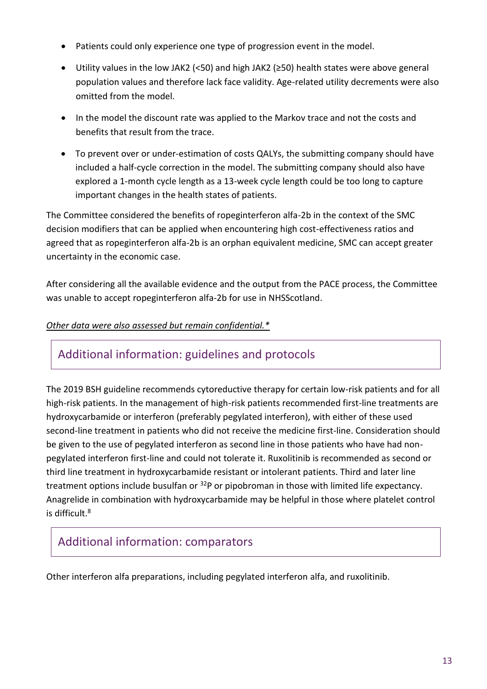- Patients could only experience one type of progression event in the model.
- Utility values in the low JAK2 (<50) and high JAK2 (≥50) health states were above general population values and therefore lack face validity. Age-related utility decrements were also omitted from the model.
- In the model the discount rate was applied to the Markov trace and not the costs and benefits that result from the trace.
- To prevent over or under-estimation of costs QALYs, the submitting company should have included a half-cycle correction in the model. The submitting company should also have explored a 1-month cycle length as a 13-week cycle length could be too long to capture important changes in the health states of patients.

The Committee considered the benefits of ropeginterferon alfa-2b in the context of the SMC decision modifiers that can be applied when encountering high cost-effectiveness ratios and agreed that as ropeginterferon alfa-2b is an orphan equivalent medicine, SMC can accept greater uncertainty in the economic case.

After considering all the available evidence and the output from the PACE process, the Committee was unable to accept ropeginterferon alfa-2b for use in NHSScotland.

### *Other data were also assessed but remain confidential.\**

### Additional information: guidelines and protocols

The 2019 BSH guideline recommends cytoreductive therapy for certain low-risk patients and for all high-risk patients. In the management of high-risk patients recommended first-line treatments are hydroxycarbamide or interferon (preferably pegylated interferon), with either of these used second-line treatment in patients who did not receive the medicine first-line. Consideration should be given to the use of pegylated interferon as second line in those patients who have had nonpegylated interferon first-line and could not tolerate it. Ruxolitinib is recommended as second or third line treatment in hydroxycarbamide resistant or intolerant patients. Third and later line treatment options include busulfan or <sup>32</sup>P or pipobroman in those with limited life expectancy. Anagrelide in combination with hydroxycarbamide may be helpful in those where platelet control is difficult.<sup>8</sup>

## Additional information: comparators

Other interferon alfa preparations, including pegylated interferon alfa, and ruxolitinib.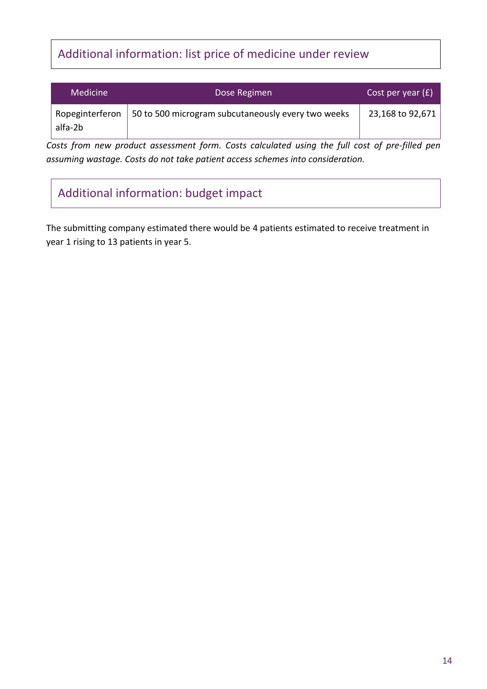# Additional information: list price of medicine under review

| Medicine | Dose Regimen                                                         | Cost per year $(f)$ |
|----------|----------------------------------------------------------------------|---------------------|
| alfa-2b  | Ropeginterferon   50 to 500 microgram subcutaneously every two weeks | 23,168 to 92,671    |

*Costs from new product assessment form. Costs calculated using the full cost of pre-filled pen assuming wastage. Costs do not take patient access schemes into consideration.*

# Additional information: budget impact

The submitting company estimated there would be 4 patients estimated to receive treatment in year 1 rising to 13 patients in year 5.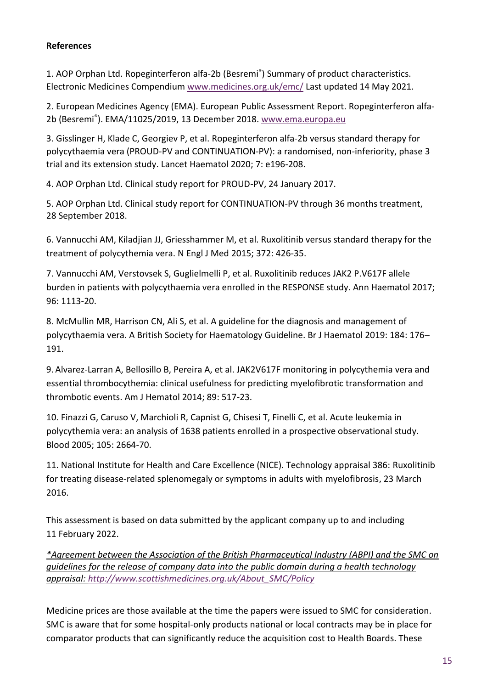### **References**

1. AOP Orphan Ltd. Ropeginterferon alfa-2b (Besremi® ) Summary of product characteristics. Electronic Medicines Compendium [www.medicines.org.uk/emc/](http://www.medicines.org.uk/emc/) Last updated 14 May 2021.

2. European Medicines Agency (EMA). European Public Assessment Report. Ropeginterferon alfa2b (Besremi®). EMA/11025/2019, 13 December 2018. [www.ema.europa.eu](http://www.ema.europa.eu/)

3. Gisslinger H, Klade C, Georgiev P, et al. Ropeginterferon alfa-2b versus standard therapy for polycythaemia vera (PROUD-PV and CONTINUATION-PV): a randomised, non-inferiority, phase 3 trial and its extension study. Lancet Haematol 2020; 7: e196-208.

4. AOP Orphan Ltd. Clinical study report for PROUD-PV, 24 January 2017.

5. AOP Orphan Ltd. Clinical study report for CONTINUATION-PV through 36 months treatment, 28 September 2018.

6. Vannucchi AM, Kiladjian JJ, Griesshammer M, et al. Ruxolitinib versus standard therapy for the treatment of polycythemia vera. N Engl J Med 2015; 372: 426-35.

7. Vannucchi AM, Verstovsek S, Guglielmelli P, et al. Ruxolitinib reduces JAK2 P.V617F allele burden in patients with polycythaemia vera enrolled in the RESPONSE study. Ann Haematol 2017; 96: 1113-20.

8. McMullin MR, Harrison CN, Ali S, et al. A guideline for the diagnosis and management of polycythaemia vera. A British Society for Haematology Guideline. Br J Haematol 2019: 184: 176– 191.

9. Alvarez-Larran A, Bellosillo B, Pereira A, et al. JAK2V617F monitoring in polycythemia vera and essential thrombocythemia: clinical usefulness for predicting myelofibrotic transformation and thrombotic events. Am J Hematol 2014; 89: 517-23.

10. Finazzi G, Caruso V, Marchioli R, Capnist G, Chisesi T, Finelli C, et al. Acute leukemia in polycythemia vera: an analysis of 1638 patients enrolled in a prospective observational study. Blood 2005; 105: 2664-70.

11. National Institute for Health and Care Excellence (NICE). Technology appraisal 386: Ruxolitinib for treating disease-related splenomegaly or symptoms in adults with myelofibrosis, 23 March 2016.

This assessment is based on data submitted by the applicant company up to and including 11 February 2022.

*\*Agreement between the Association of the British Pharmaceutical Industry (ABPI) and the SMC on guidelines for the release of company data into the public domain during a health technology appraisal: [http://www.scottishmedicines.org.uk/About\\_SMC/Policy](http://www.scottishmedicines.org.uk/About_SMC/Policy)*

Medicine prices are those available at the time the papers were issued to SMC for consideration. SMC is aware that for some hospital-only products national or local contracts may be in place for comparator products that can significantly reduce the acquisition cost to Health Boards. These